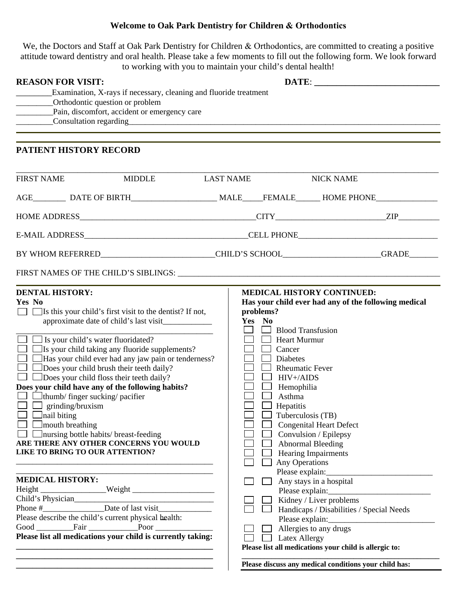## **Welcome to Oak Park Dentistry for Children & Orthodontics**

We, the Doctors and Staff at Oak Park Dentistry for Children & Orthodontics, are committed to creating a positive attitude toward dentistry and oral health. Please take a few moments to fill out the following form. We look forward to working with you to maintain your child's dental health!

| <b>REASON FOR VISIT:</b>                                                                                                                                                                                                                                                                                                                                                                                                                                                                                                                                                                                                                                                                                                                    |                                                                                                                                                                                                                                                                                                                                                                                                                                                                                                                                                        |
|---------------------------------------------------------------------------------------------------------------------------------------------------------------------------------------------------------------------------------------------------------------------------------------------------------------------------------------------------------------------------------------------------------------------------------------------------------------------------------------------------------------------------------------------------------------------------------------------------------------------------------------------------------------------------------------------------------------------------------------------|--------------------------------------------------------------------------------------------------------------------------------------------------------------------------------------------------------------------------------------------------------------------------------------------------------------------------------------------------------------------------------------------------------------------------------------------------------------------------------------------------------------------------------------------------------|
| Examination, X-rays if necessary, cleaning and fluoride treatment<br>____________Orthodontic question or problem                                                                                                                                                                                                                                                                                                                                                                                                                                                                                                                                                                                                                            |                                                                                                                                                                                                                                                                                                                                                                                                                                                                                                                                                        |
|                                                                                                                                                                                                                                                                                                                                                                                                                                                                                                                                                                                                                                                                                                                                             |                                                                                                                                                                                                                                                                                                                                                                                                                                                                                                                                                        |
|                                                                                                                                                                                                                                                                                                                                                                                                                                                                                                                                                                                                                                                                                                                                             |                                                                                                                                                                                                                                                                                                                                                                                                                                                                                                                                                        |
| PATIENT HISTORY RECORD                                                                                                                                                                                                                                                                                                                                                                                                                                                                                                                                                                                                                                                                                                                      |                                                                                                                                                                                                                                                                                                                                                                                                                                                                                                                                                        |
| <b>FIRST NAME</b><br><b>MIDDLE</b>                                                                                                                                                                                                                                                                                                                                                                                                                                                                                                                                                                                                                                                                                                          | <b>LAST NAME</b><br><b>NICK NAME</b>                                                                                                                                                                                                                                                                                                                                                                                                                                                                                                                   |
|                                                                                                                                                                                                                                                                                                                                                                                                                                                                                                                                                                                                                                                                                                                                             |                                                                                                                                                                                                                                                                                                                                                                                                                                                                                                                                                        |
|                                                                                                                                                                                                                                                                                                                                                                                                                                                                                                                                                                                                                                                                                                                                             |                                                                                                                                                                                                                                                                                                                                                                                                                                                                                                                                                        |
|                                                                                                                                                                                                                                                                                                                                                                                                                                                                                                                                                                                                                                                                                                                                             |                                                                                                                                                                                                                                                                                                                                                                                                                                                                                                                                                        |
| BY WHOM REFERRED_______________________________CHILD'S SCHOOL____________________GRADE______________                                                                                                                                                                                                                                                                                                                                                                                                                                                                                                                                                                                                                                        |                                                                                                                                                                                                                                                                                                                                                                                                                                                                                                                                                        |
| FIRST NAMES OF THE CHILD'S SIBLINGS: University of the CHILD'S SIBLINGS:                                                                                                                                                                                                                                                                                                                                                                                                                                                                                                                                                                                                                                                                    |                                                                                                                                                                                                                                                                                                                                                                                                                                                                                                                                                        |
| Yes No<br>$\Box$ Is this your child's first visit to the dentist? If not,<br>$\Box$ Is your child's water fluoridated?<br>Is your child taking any fluoride supplements?<br>Has your child ever had any jaw pain or tenderness?<br>Does your child brush their teeth daily?<br>Does your child floss their teeth daily?<br>Does your child have any of the following habits?<br>$\Box$ thumb/ finger sucking/ pacifier<br>grinding/bruxism<br>nail biting<br>mouth breathing<br>nursing bottle habits/ breast-feeding<br>ARE THERE ANY OTHER CONCERNS YOU WOULD<br>LIKE TO BRING TO OUR ATTENTION?<br><b>MEDICAL HISTORY:</b><br>Child's Physician<br>Phone #<br>Date of last visit<br>Please describe the child's current physical health: | Has your child ever had any of the following medical<br>problems?<br>Yes No<br><b>Blood Transfusion</b><br><b>Heart Murmur</b><br>Cancer<br><b>Diabetes</b><br><b>Rheumatic Fever</b><br>$HIV + /AIDS$<br>$\Box$ Hemophilia<br>Asthma<br>Hepatitis<br>Tuberculosis (TB)<br><b>Congenital Heart Defect</b><br>Convulsion / Epilepsy<br><b>Abnormal Bleeding</b><br>Hearing Impairments<br>Any Operations<br>Please explain:<br>Any stays in a hospital<br>Kidney / Liver problems<br>Handicaps / Disabilities / Special Needs<br>Allergies to any drugs |
| Please list all medications your child is currently taking:                                                                                                                                                                                                                                                                                                                                                                                                                                                                                                                                                                                                                                                                                 | <b>Latex Allergy</b><br>Please list all medications your child is allergic to:                                                                                                                                                                                                                                                                                                                                                                                                                                                                         |

**\_\_\_\_\_\_\_\_\_\_\_\_\_\_\_\_\_\_\_\_\_\_\_\_\_\_\_\_\_\_\_\_\_\_\_\_\_\_\_\_\_\_\_\_\_\_\_\_** 

**Please discuss any medical conditions your child has:**